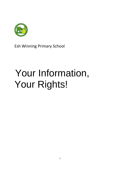

Esh Winning Primary School

# Your Information, Your Rights!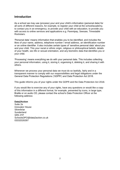#### **Introduction**

As a school we may use (process) your and your child's information (personal data) for all sorts of different reasons, for example, to register your child at the school/academy, to contact you in an emergency, to provide your child with an education, to provide you with access to online services and applications e.g. Parentpay, Seesaw, Timestable Rockstars.

'Personal data' means information that enables you to be identified, and includes the likes of your name, address, telephone number / email address, an identification number or an online identifier. It also includes certain types of 'sensitive personal data' about you and your child. This your racial or ethnic origin, religious or philosophical beliefs, details of your health, sex life or sexual orientation, and any biometric data that identifies you or your child.

'Processing' means everything we do with your personal data. This includes collecting your personal information, using it, storing it, organising it, deleting it, and sharing it with others.

Whenever we process your personal data we must do so lawfully, fairly and in a transparent manner to comply with our responsibilities and legal obligations under the General Data Protection Regulations ('GDPR') and Data Protection Act 2018.

This guide informs you of your rights under the GDPR and the Data Protection Act 2018.

If you would like to exercise any of your rights, have any questions or would like a copy of this information in a different format, for example, presented by icons, in large type, Braille or on audio CD, please contact the school's Data Protection Officer at the following address:

#### **Data2Action**

Suite 2e Innovator House **Silverbriar Sunderland** SR5 2TP SchoolsDPO@data2action.co.uk 03332026397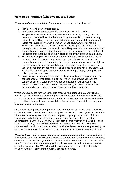#### **Right to be informed (what we must tell you)**

*When we collect personal data from you* at the time we collect it, we will

- 1. Provide you with our contact details.
- 2. Provide you with the contact details of our Data Protection Officer.
- 3. Tell you what we will do with your personal data, including sharing it with third parties and the legal basis for the processing. We do this by way of a privacy notice. In the unlikely event we need to transfer your personal data to a country that is not covered by the GDPR, we will let you know whether or not the European Commission has made a decision regarding the adequacy of that country's data protection practices. In the unlikely event we need to transfer your personal data to an international organisation we will provide you with details of the safeguards that have been put in place to keep your personal data secure.
- 4. Tell you how long we will keep your personal data and what your rights are in relation to that data. These may include the right to have any errors in your personal data corrected, the right to have your personal data erased, the right to stop us processing your personal data and the right to object to us processing your personal data. Please note not all of these rights apply in all situations. We will provide you with specific information on which rights apply at the point we collect your personal data.
- 5. Inform you of any automated decision making, including profiling and what the consequences of that decision might be. We will also provide you with the contact details of a person who you can contact for an explanation of the decision. You will be able to inform that person of your point of view and ask them to revisit the decision considering what you have told them.

Where we have asked for your consent to process your personal data, we will also provide you with information on your right to withdraw consent at any time. We will tell you if providing your personal data is a statutory or contractual requirement and where you are obliged to provide your personal data. We will also tell you of the consequences of you not providing the data.

If we would like to process your personal data for a reason other than that for which we collected it, we will contact you before doing so. We will also provide you with any further information necessary to ensure the way we process your personal data is fair and transparent and inform you of your right to make a complaint to the Information Commissioner's Office (ICO). We will usually provide this information in writing. This is known as a privacy notice. We may provide this information in combination with standardised icons in order to give a clear visual overview of the intended processing. In cases where you have already received this information, we may not provide it to you.

*When we have received your personal data from someone other you…*in addition to the above information, we will let you know the categories of personal data, for example, whether we have received your name, an identification number, location data, an online identifier or information about your physical, physiological, genetic, mental, economic, cultural or social identity. We will also tell you who provided us with the information, including whether it came from a publicly accessible source.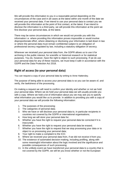We will provide this information to you in a reasonable period depending on the circumstances of the case and in all cases at the latest within one month of the date we received your personal data. If we intend to use your personal data to contact you we will provide this information at the point of first contact, at the latest. If we intend to disclose the information to a third party, we will provide this information at the point we first disclose your personal data, at the latest.

There may be some circumstances in which we would not provide you with this information i.e. where providing this information proves impossible or would involve disproportionate effort, where obtaining or disclosing your information is laid down in law or where the personal data must remain confidential subject to an obligation of professional secrecy regulated by law, including a statutory obligation of secrecy.

Wherever we received your personal data from, the GDPR allows us to use it for archiving in the public interest, for scientific or historical research or for statistical purposes. You do, however, have the right to object to such processing. If we do use your personal data for any of these reasons, we must keep it safe in accordance with the GDPR and the Data Protection Act 2018.

# **Right of access (to your personal data)**

You can request a copy of your personal data by writing to Anne Hattersley.

The purpose of being able to access your personal data is so you can be aware of, and verify, the lawfulness of the processing.

On making a request we will need to confirm your identity and whether or not we hold your personal data. Where we do hold your personal data we will usually provide you with a copy. Where we hold a lot of information about you we may ask you to specify what information you would like us to provide. In addition to providing you with a copy of your personal data we will provide the following information:

- 1. The purposes of the processing;
- 2. The categories of personal data;
- 3. Who we have or will disclose your personal data to, in particular recipients in countries not covered by the GDPR or international organisations;
- 4. How long we will store your personal data for;
- 5. Whether you have the right to request your personal data be corrected if it is inaccurate;
- 6. Whether you have the right to request your personal data be erased;
- 7. Whether you have the right to request that we stop processing your data or to object to us processing your personal data;
- 8. Your right to make a complaint to the ICO;
- 9. Where we received your personal data from, if we did not receive it from you;
- 10. The existence of automated decision-making, including profiling, along with some meaningful information about the logic involved and the significance and possible consequences of such processing;
- 11. In the unlikely event we have transferred your personal data to a country that is not covered by the GDPR, we will let you know whether or not the European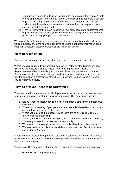Commission has made a decision regarding the adequacy of that country's data protection practices. Where the European Commission has not made a decision regarding the adequacy of that countries data protection practices, we will provide you with details of the safeguards that have been put in place to keep your personal data secure; and

12. In the unlikely event we have transferred your personal data to an international organisation, we will provide you with details of the safeguards that have been put in place to keep your personal data secure.

We may not be able to provide you with a copy of your personal data where doing so would adversely affect the right and freedoms of others. For further information about your right of access, please contact out Data Protection Officer.

#### **Right to rectification**

If we hold inaccurate personal data about you, you have the right to have it corrected.

Where we have corrected your personal data we will notify any third parties we have disclosed the inaccurate data to unless it would be impossible or involve disproportionate effort. We will let you know who those third parties are on request. Please note, we do not have to change data just because you disagree with it, if that was the opinion of a professional at the time. But we are required to add a file note saying what you dispute.

# **Right to erasure ('right to be forgotten')**

There are certain circumstances in which you have a right to have your personal data erased and certain circumstances in which you do not. This right applies where:

- 1. It is no longer necessary for us to hold your personal data for the purposes we collected it;
- 2. Where our processing of your personal data was solely based on your consent and you have withdrawn that consent;
- 3. Where you object to the processing and there are no overriding legitimate grounds for the processing;
- 4. Where you object to the processing of your data for direct marketing purposes;
- 5. We have processed your personal data unlawfully;
- 6. We have to erase your personal data to comply with a legal obligation; or
- 7. We have collected a child's personal data in relation to the offer of information society (online) services.

Where we have disclosed the personal data to third parties we will inform them unless it would be impossible or involve disproportionate effort. We will let you know who those third parties are on request.

Please note: This right does not apply where we need to process your personal data:

1. To comply with a legal obligation;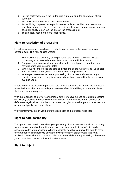- 2. For the performance of a task in the public interest or in the exercise of official authority;
- 3. For public health reasons in the public interest;
- 4. For archiving purposes in the public interest, scientific or historical research or statistical purposes, where erasing the data would make it impossible or seriously affect our ability to achieve the aims of the processing; or
- 5. To take legal action or defend legal claims.

#### **Right to restriction of processing**

In certain circumstances you have the right to stop us from further processing your personal data. This right applies where:

- 1. You challenge the accuracy of the personal data. In such cases we will stop processing your personal data until we have confirmed it is accurate;
- 2. Our processing is unlawful, and you choose to restrict processing rather than have us erase your personal data;
- 3. Where we no longer need the data and intend to delete it, but you ask us to keep it for the establishment, exercise or defence of a legal claim; or
- 4. Where you have objected to the processing of your data and are awaiting a decision on whether the legitimate grounds we have claimed for the processing override yours.

Where we have disclosed the personal data to third parties we will inform them unless it would be impossible or involve disproportionate effort. We will let you know who those third parties are on request.

With the exception of storing your personal data if we have agreed to restrict processing we will only process the data with your consent or for the establishment, exercise or defence of legal claims or for the protection of the rights of another person or for reasons of important public interest or UK law.

We will inform you inform you before the restriction of the processing is lifted.

# **Right to data portability**

The right to data portability enables you get a copy of your personal data in a commonly used machine readable format for your own use, for example, to transfer to another service provider or organisation. Where technically possible you have the right to have the data transferred directly to another service provider or organisation. This right applies in cases where you have provided the personal data, the processing is based on your consent and carried out by automated means.

#### **Right to object**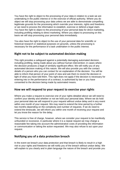You have the right to object to the processing of your data in relation to a task we are undertaking in the public interest or in the exercise of official authority. Where you do object we will stop processing your data unless we are able to demonstrate compelling legitimate grounds for the processing which override your interests, rights and freedoms or we need to process the information to establish, exercise or defend a legal claim. You have the right to object to the processing of your personal data for direct marketing, including profiling relating to direct marketing. Where you object to processing on this basis we will stop processing your personal data immediately.

You also have the right to object to the use of your personal data for scientific or historical research or statistical purposes on grounds, unless the processing is necessary for the performance of a task undertaken in the public interest.

#### **Right not to be subject to automated decision making**

This right provides a safeguard against a potentially damaging automated decision, including profiling, being made about you without human intervention; in cases where the decision produces a legal of similarly significant effect. We will notify you of any automated decision making of this nature. We will also provide you with the contact details of a person who you can contact for an explanation of the decision. You will be able to inform that person of your point of view and ask them to revisit the decision in light of what you have told them. This right does not apply if the decision is necessary for entering into or the performance of a contract, is authorised by law or you have consented to the decision being made by automated means.

#### **How we will respond to your request to exercise your rights**

Where you make a request to exercise one of your rights detailed above we will need to confirm your identity and whether or not we hold your personal data. Where we do hold your personal data we will respond to your request without undue delay and in any event within one month of your request. We may need to extend the time period by a further two months depending on the complexity and number of requests. If we do need to extend the timescale, we will inform you within one month of receiving your request and let you know the reason for the delay.

This service is free of charge, however, where we consider your request to be manifestly unfounded or excessive, in particular where it is a repeat request we may charge a reasonable fee taking into account the administrative costs of providing the information or communication or taking the action requested. We may also refuse to act upon your request.

#### **Notifying you of a data protection breach**

In the event we breach your data protection and that breach is likely to result in a high risk to your rights and freedoms we will notify you of the breach without undue delay. We will explain to you clearly and in plain language the nature of the breach and provide you